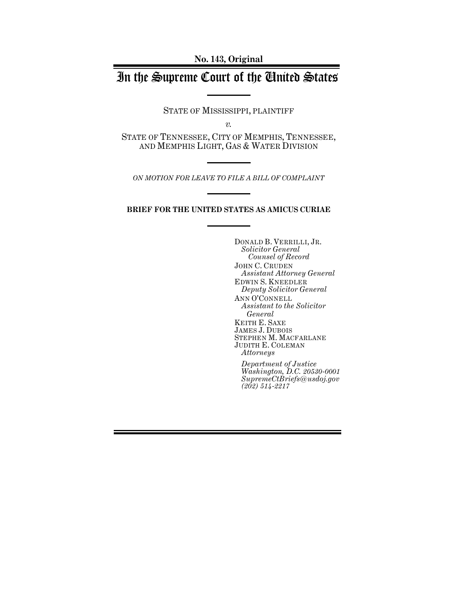**No. 143, Original**

# In the Supreme Court of the United States

STATE OF MISSISSIPPI, PLAINTIFF

*v.*

STATE OF TENNESSEE, CITY OF MEMPHIS, TENNESSEE, AND MEMPHIS LIGHT, GAS & WATER DIVISION

*ON MOTION FOR LEAVE TO FILE A BILL OF COMPLAINT*

#### **BRIEF FOR THE UNITED STATES AS AMICUS CURIAE**

DONALD B. VERRILLI, JR. *Solicitor General Counsel of Record* JOHN C. CRUDEN *Assistant Attorney General* EDWIN S. KNEEDLER *Deputy Solicitor General* ANN O'CONNELL *Assistant to the Solicitor General* KEITH E. SAXE JAMES J. DUBOIS STEPHEN M. MACFARLANE JUDITH E. COLEMAN *Attorneys Department of Justice Washington, D.C. 20530-0001 SupremeCtBriefs@usdoj.gov*

*(202) 514-2217*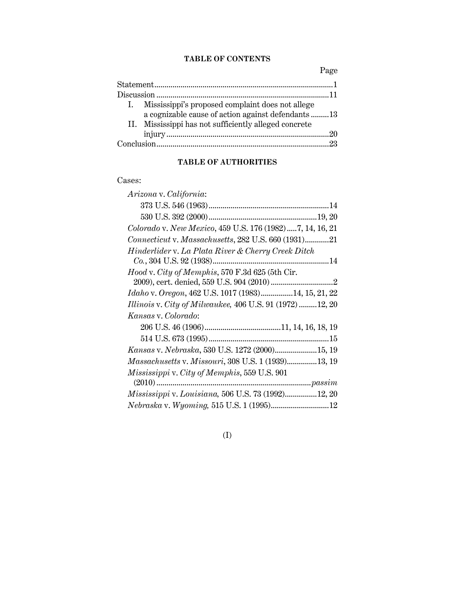### **TABLE OF CONTENTS**

Page

| Mississippi's proposed complaint does not allege<br>$\mathbf{I}$ . |  |
|--------------------------------------------------------------------|--|
| a cognizable cause of action against defendants  13                |  |
| II. Mississippi has not sufficiently alleged concrete              |  |
|                                                                    |  |
|                                                                    |  |

# **TABLE OF AUTHORITIES**

| ases |  |
|------|--|
|      |  |

| Arizona v. California:                                   |
|----------------------------------------------------------|
|                                                          |
|                                                          |
| Colorado v. New Mexico, 459 U.S. 176 (1982)7, 14, 16, 21 |
| Connecticut v. Massachusetts, 282 U.S. 660 (1931)21      |
| Hinderlider v. La Plata River & Cherry Creek Ditch       |
| Hood v. City of Memphis, 570 F.3d 625 (5th Cir.          |
| Idaho v. Oregon, 462 U.S. 1017 (1983)14, 15, 21, 22      |
| Illinois v. City of Milwaukee, 406 U.S. 91 (1972) 12, 20 |
| Kansas v. Colorado:                                      |
|                                                          |
|                                                          |
| Kansas v. Nebraska, 530 U.S. 1272 (2000)15, 19           |
| Massachusetts v. Missouri, 308 U.S. 1 (1939)13, 19       |
| Mississippi v. City of Memphis, 559 U.S. 901             |
|                                                          |
| Mississippi v. Louisiana, 506 U.S. 73 (1992)12, 20       |
| Nebraska v. Wyoming, 515 U.S. 1 (1995)12                 |

(I)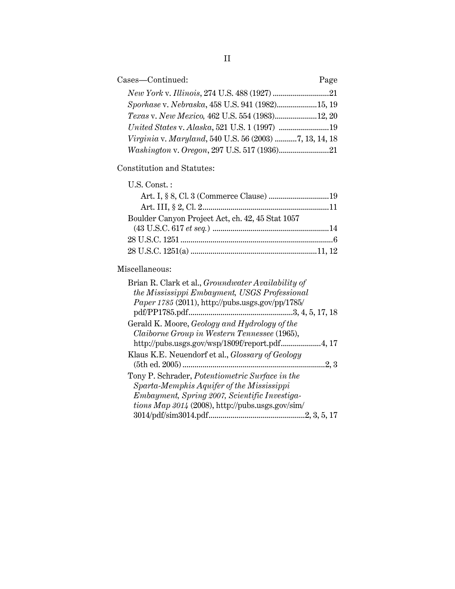| Cases-Continued:                                       | Page |
|--------------------------------------------------------|------|
|                                                        |      |
| Sporhase v. Nebraska, 458 U.S. 941 (1982)15, 19        |      |
| Texas v. New Mexico, 462 U.S. 554 (1983)12, 20         |      |
| United States v. Alaska, 521 U.S. 1 (1997) 19          |      |
| Virginia v. Maryland, 540 U.S. 56 (2003) 7, 13, 14, 18 |      |
|                                                        |      |

# Constitution and Statutes:

| U.S. Const.:                                     |  |
|--------------------------------------------------|--|
|                                                  |  |
|                                                  |  |
| Boulder Canyon Project Act, ch. 42, 45 Stat 1057 |  |
|                                                  |  |
|                                                  |  |
|                                                  |  |

## Miscellaneous:

| Brian R. Clark et al., Groundwater Availability of<br>the Mississippi Embayment, USGS Professional<br>Paper 1785 (2011), http://pubs.usgs.gov/pp/1785/                                            |
|---------------------------------------------------------------------------------------------------------------------------------------------------------------------------------------------------|
|                                                                                                                                                                                                   |
| Gerald K. Moore, Geology and Hydrology of the<br>Claiborne Group in Western Tennessee (1965),<br>http://pubs.usgs.gov/wsp/1809f/report.pdf4, 17                                                   |
| Klaus K.E. Neuendorf et al., <i>Glossary of Geology</i><br>2,3                                                                                                                                    |
| Tony P. Schrader, Potentiometric Surface in the<br>Sparta-Memphis Aquifer of the Mississippi<br>Embayment, Spring 2007, Scientific Investiga-<br>tions Map 3014 (2008), http://pubs.usgs.gov/sim/ |
| .2, 3, 5, 17                                                                                                                                                                                      |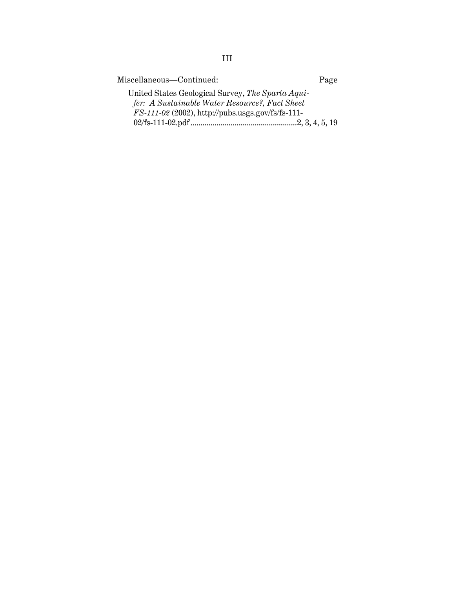| Miscellaneous-Continued:                          | Page |
|---------------------------------------------------|------|
| United States Geological Survey, The Sparta Aqui- |      |
| fer: A Sustainable Water Resource?, Fact Sheet    |      |
| FS-111-02 (2002), http://pubs.usgs.gov/fs/fs-111- |      |
|                                                   |      |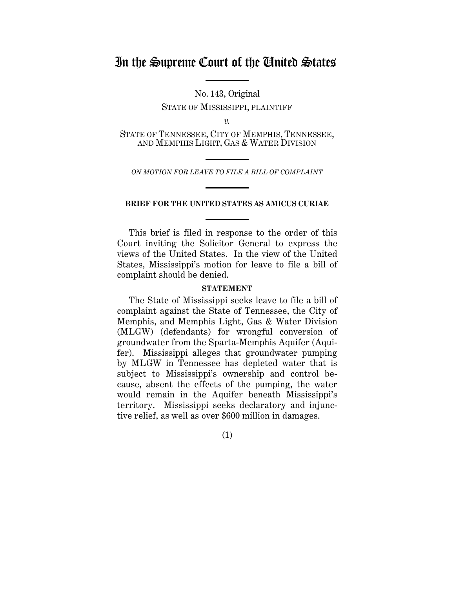# In the Supreme Court of the United States

No. 143, Original STATE OF MISSISSIPPI, PLAINTIFF

*v.*

STATE OF TENNESSEE, CITY OF MEMPHIS, TENNESSEE, AND MEMPHIS LIGHT, GAS & WATER DIVISION

*ON MOTION FOR LEAVE TO FILE A BILL OF COMPLAINT*

#### **BRIEF FOR THE UNITED STATES AS AMICUS CURIAE**

This brief is filed in response to the order of this Court inviting the Solicitor General to express the views of the United States. In the view of the United States, Mississippi's motion for leave to file a bill of complaint should be denied.

#### **STATEMENT**

The State of Mississippi seeks leave to file a bill of complaint against the State of Tennessee, the City of Memphis, and Memphis Light, Gas & Water Division (MLGW) (defendants) for wrongful conversion of groundwater from the Sparta-Memphis Aquifer (Aquifer). Mississippi alleges that groundwater pumping by MLGW in Tennessee has depleted water that is subject to Mississippi's ownership and control because, absent the effects of the pumping, the water would remain in the Aquifer beneath Mississippi's territory. Mississippi seeks declaratory and injunctive relief, as well as over \$600 million in damages.

(1)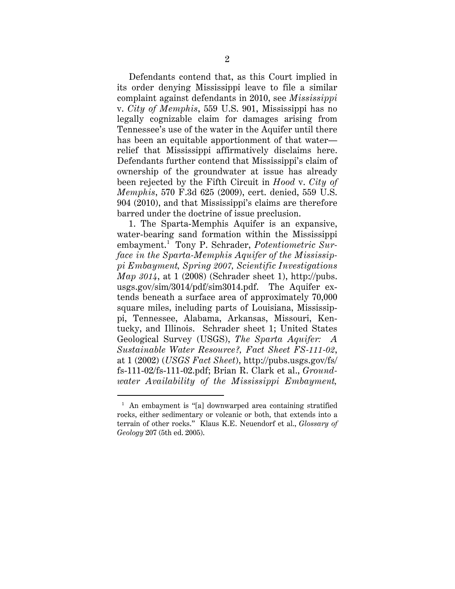Defendants contend that, as this Court implied in its order denying Mississippi leave to file a similar complaint against defendants in 2010, see *Mississippi*  v. *City of Memphis*, 559 U.S. 901, Mississippi has no legally cognizable claim for damages arising from Tennessee's use of the water in the Aquifer until there has been an equitable apportionment of that water relief that Mississippi affirmatively disclaims here. Defendants further contend that Mississippi's claim of ownership of the groundwater at issue has already been rejected by the Fifth Circuit in *Hood* v. *City of Memphis*, 570 F.3d 625 (2009), cert. denied, 559 U.S. 904 (2010), and that Mississippi's claims are therefore barred under the doctrine of issue preclusion.

1. The Sparta-Memphis Aquifer is an expansive, water-bearing sand formation within the Mississippi embayment. 1 Tony P. Schrader, *Potentiometric Surface in the Sparta-Memphis Aquifer of the Mississippi Embayment, Spring 2007, Scientific Investigations Map 3014*, at 1 (2008) (Schrader sheet 1), http://pubs. usgs.gov/sim/3014/pdf/sim3014.pdf. The Aquifer extends beneath a surface area of approximately 70,000 square miles, including parts of Louisiana, Mississippi, Tennessee, Alabama, Arkansas, Missouri, Kentucky, and Illinois. Schrader sheet 1; United States Geological Survey (USGS), *The Sparta Aquifer: A Sustainable Water Resource?, Fact Sheet FS-111-02*, at 1 (2002) (*USGS Fact Sheet*), http://pubs.usgs.gov/fs/ fs-111-02/fs-111-02.pdf; Brian R. Clark et al., *Groundwater Availability of the Mississippi Embayment,* 

 $\overline{a}$ 

<sup>&</sup>lt;sup>1</sup> An embayment is "[a] downwarped area containing stratified rocks, either sedimentary or volcanic or both, that extends into a terrain of other rocks." Klaus K.E. Neuendorf et al., *Glossary of Geology* 207 (5th ed. 2005).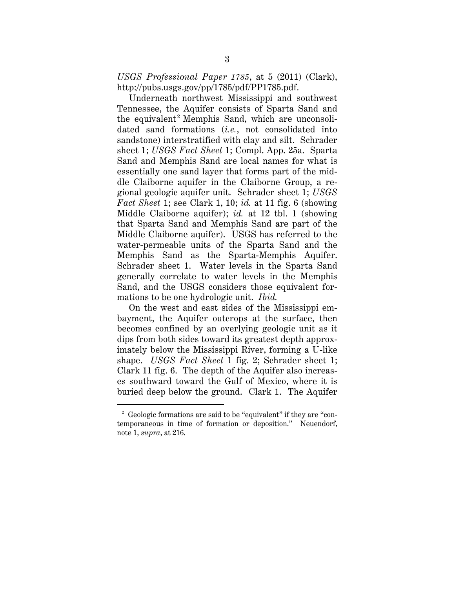*USGS Professional Paper 1785*, at 5 (2011) (Clark), http://pubs.usgs.gov/pp/1785/pdf/PP1785.pdf.

Underneath northwest Mississippi and southwest Tennessee, the Aquifer consists of Sparta Sand and the equivalent<sup>2</sup> Memphis Sand, which are unconsolidated sand formations (*i.e.*, not consolidated into sandstone) interstratified with clay and silt. Schrader sheet 1; *USGS Fact Sheet* 1; Compl. App. 25a. Sparta Sand and Memphis Sand are local names for what is essentially one sand layer that forms part of the middle Claiborne aquifer in the Claiborne Group, a regional geologic aquifer unit. Schrader sheet 1; *USGS Fact Sheet* 1; see Clark 1, 10; *id.* at 11 fig. 6 (showing Middle Claiborne aquifer); *id.* at 12 tbl. 1 (showing that Sparta Sand and Memphis Sand are part of the Middle Claiborne aquifer). USGS has referred to the water-permeable units of the Sparta Sand and the Memphis Sand as the Sparta-Memphis Aquifer. Schrader sheet 1. Water levels in the Sparta Sand generally correlate to water levels in the Memphis Sand, and the USGS considers those equivalent formations to be one hydrologic unit. *Ibid.*

On the west and east sides of the Mississippi embayment, the Aquifer outcrops at the surface, then becomes confined by an overlying geologic unit as it dips from both sides toward its greatest depth approximately below the Mississippi River, forming a U-like shape. *USGS Fact Sheet* 1 fig. 2; Schrader sheet 1; Clark 11 fig. 6. The depth of the Aquifer also increases southward toward the Gulf of Mexico, where it is buried deep below the ground. Clark 1. The Aquifer

 $\overline{a}$ 

<sup>&</sup>lt;sup>2</sup> Geologic formations are said to be "equivalent" if they are "contemporaneous in time of formation or deposition." Neuendorf, note 1, *supra*, at 216.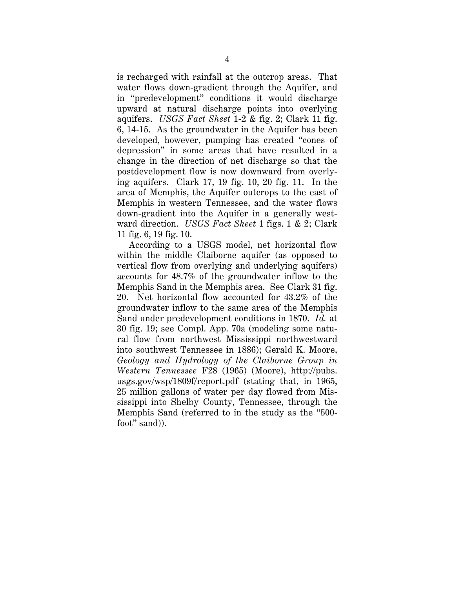is recharged with rainfall at the outcrop areas. That water flows down-gradient through the Aquifer, and in "predevelopment" conditions it would discharge upward at natural discharge points into overlying aquifers. *USGS Fact Sheet* 1-2 & fig. 2; Clark 11 fig. 6, 14-15. As the groundwater in the Aquifer has been developed, however, pumping has created "cones of depression" in some areas that have resulted in a change in the direction of net discharge so that the postdevelopment flow is now downward from overlying aquifers. Clark 17, 19 fig. 10, 20 fig. 11. In the area of Memphis, the Aquifer outcrops to the east of Memphis in western Tennessee, and the water flows down-gradient into the Aquifer in a generally westward direction. *USGS Fact Sheet* 1 figs. 1 & 2; Clark 11 fig. 6, 19 fig. 10.

According to a USGS model, net horizontal flow within the middle Claiborne aquifer (as opposed to vertical flow from overlying and underlying aquifers) accounts for 48.7% of the groundwater inflow to the Memphis Sand in the Memphis area. See Clark 31 fig. 20. Net horizontal flow accounted for 43.2% of the groundwater inflow to the same area of the Memphis Sand under predevelopment conditions in 1870. *Id.* at 30 fig. 19; see Compl. App. 70a (modeling some natural flow from northwest Mississippi northwestward into southwest Tennessee in 1886); Gerald K. Moore, *Geology and Hydrology of the Claiborne Group in Western Tennessee* F28 (1965) (Moore), http://pubs. usgs.gov/wsp/1809f/report.pdf (stating that, in 1965, 25 million gallons of water per day flowed from Mississippi into Shelby County, Tennessee, through the Memphis Sand (referred to in the study as the "500 foot" sand)).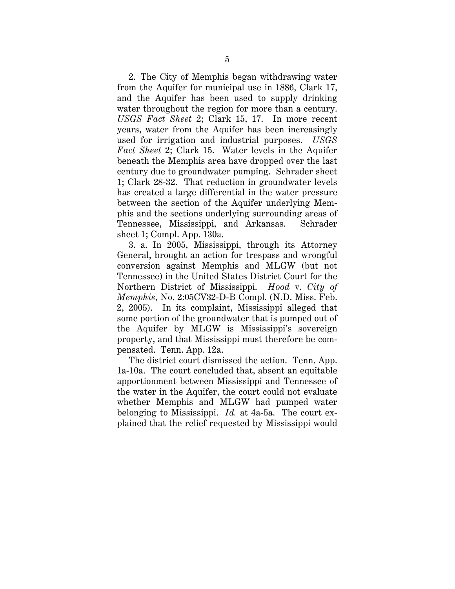2. The City of Memphis began withdrawing water from the Aquifer for municipal use in 1886, Clark 17, and the Aquifer has been used to supply drinking water throughout the region for more than a century. *USGS Fact Sheet* 2; Clark 15, 17. In more recent years, water from the Aquifer has been increasingly used for irrigation and industrial purposes. *USGS Fact Sheet* 2; Clark 15. Water levels in the Aquifer beneath the Memphis area have dropped over the last century due to groundwater pumping. Schrader sheet 1; Clark 28-32. That reduction in groundwater levels has created a large differential in the water pressure between the section of the Aquifer underlying Memphis and the sections underlying surrounding areas of Tennessee, Mississippi, and Arkansas. Schrader sheet 1; Compl. App. 130a.

3. a. In 2005, Mississippi, through its Attorney General, brought an action for trespass and wrongful conversion against Memphis and MLGW (but not Tennessee) in the United States District Court for the Northern District of Mississippi. *Hood* v. *City of Memphis*, No. 2:05CV32-D-B Compl. (N.D. Miss. Feb. 2, 2005). In its complaint, Mississippi alleged that some portion of the groundwater that is pumped out of the Aquifer by MLGW is Mississippi's sovereign property, and that Mississippi must therefore be compensated. Tenn. App. 12a.

The district court dismissed the action. Tenn. App. 1a-10a. The court concluded that, absent an equitable apportionment between Mississippi and Tennessee of the water in the Aquifer, the court could not evaluate whether Memphis and MLGW had pumped water belonging to Mississippi. *Id.* at 4a-5a. The court explained that the relief requested by Mississippi would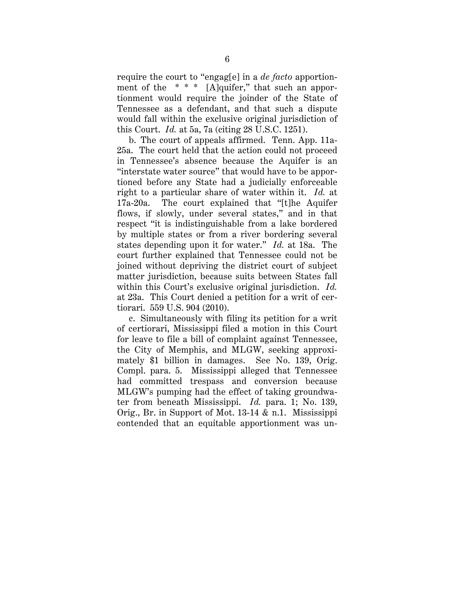require the court to "engag[e] in a *de facto* apportionment of the  $**$   $[A]$ quifer," that such an apportionment would require the joinder of the State of Tennessee as a defendant, and that such a dispute would fall within the exclusive original jurisdiction of this Court. *Id.* at 5a, 7a (citing 28 U.S.C. 1251).

b. The court of appeals affirmed. Tenn. App. 11a-25a. The court held that the action could not proceed in Tennessee's absence because the Aquifer is an "interstate water source" that would have to be apportioned before any State had a judicially enforceable right to a particular share of water within it. *Id.* at 17a-20a. The court explained that "[t]he Aquifer flows, if slowly, under several states," and in that respect "it is indistinguishable from a lake bordered by multiple states or from a river bordering several states depending upon it for water." *Id.* at 18a. The court further explained that Tennessee could not be joined without depriving the district court of subject matter jurisdiction, because suits between States fall within this Court's exclusive original jurisdiction. *Id.* at 23a. This Court denied a petition for a writ of certiorari. 559 U.S. 904 (2010).

c. Simultaneously with filing its petition for a writ of certiorari, Mississippi filed a motion in this Court for leave to file a bill of complaint against Tennessee, the City of Memphis, and MLGW, seeking approximately \$1 billion in damages. See No. 139, Orig. Compl. para. 5. Mississippi alleged that Tennessee had committed trespass and conversion because MLGW's pumping had the effect of taking groundwater from beneath Mississippi. *Id.* para. 1; No. 139, Orig., Br. in Support of Mot. 13-14 & n.1. Mississippi contended that an equitable apportionment was un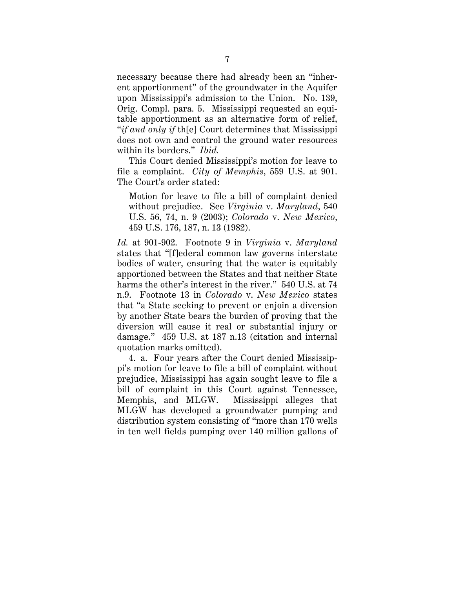necessary because there had already been an "inherent apportionment" of the groundwater in the Aquifer upon Mississippi's admission to the Union. No. 139, Orig. Compl. para. 5. Mississippi requested an equitable apportionment as an alternative form of relief, "*if and only if* th[e] Court determines that Mississippi does not own and control the ground water resources within its borders." *Ibid.*

This Court denied Mississippi's motion for leave to file a complaint. *City of Memphis*, 559 U.S. at 901. The Court's order stated:

Motion for leave to file a bill of complaint denied without prejudice. See *Virginia* v. *Maryland*, 540 U.S. 56, 74, n. 9 (2003); *Colorado* v. *New Mexico*, 459 U.S. 176, 187, n. 13 (1982).

*Id.* at 901-902. Footnote 9 in *Virginia* v. *Maryland*  states that "[f]ederal common law governs interstate bodies of water, ensuring that the water is equitably apportioned between the States and that neither State harms the other's interest in the river." 540 U.S. at 74 n.9. Footnote 13 in *Colorado* v. *New Mexico* states that "a State seeking to prevent or enjoin a diversion by another State bears the burden of proving that the diversion will cause it real or substantial injury or damage." 459 U.S. at 187 n.13 (citation and internal quotation marks omitted).

4. a. Four years after the Court denied Mississippi's motion for leave to file a bill of complaint without prejudice, Mississippi has again sought leave to file a bill of complaint in this Court against Tennessee, Memphis, and MLGW. Mississippi alleges that MLGW has developed a groundwater pumping and distribution system consisting of "more than 170 wells in ten well fields pumping over 140 million gallons of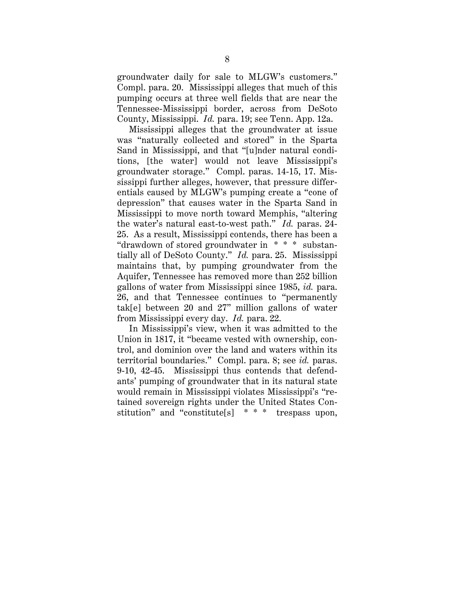groundwater daily for sale to MLGW's customers." Compl. para. 20. Mississippi alleges that much of this pumping occurs at three well fields that are near the Tennessee-Mississippi border, across from DeSoto County, Mississippi. *Id.* para. 19; see Tenn. App. 12a.

Mississippi alleges that the groundwater at issue was "naturally collected and stored" in the Sparta Sand in Mississippi, and that "[u]nder natural conditions, [the water] would not leave Mississippi's groundwater storage." Compl. paras. 14-15, 17. Mississippi further alleges, however, that pressure differentials caused by MLGW's pumping create a "cone of depression" that causes water in the Sparta Sand in Mississippi to move north toward Memphis, "altering the water's natural east-to-west path." *Id.* paras. 24- 25. As a result, Mississippi contends, there has been a "drawdown of stored groundwater in \* \* \* substantially all of DeSoto County." *Id.* para. 25. Mississippi maintains that, by pumping groundwater from the Aquifer, Tennessee has removed more than 252 billion gallons of water from Mississippi since 1985, *id.* para. 26, and that Tennessee continues to "permanently tak[e] between 20 and 27" million gallons of water from Mississippi every day. *Id.* para. 22.

In Mississippi's view, when it was admitted to the Union in 1817, it "became vested with ownership, control, and dominion over the land and waters within its territorial boundaries." Compl. para. 8; see *id.* paras. 9-10, 42-45. Mississippi thus contends that defendants' pumping of groundwater that in its natural state would remain in Mississippi violates Mississippi's "retained sovereign rights under the United States Constitution" and "constitute[s] \* \* \* trespass upon,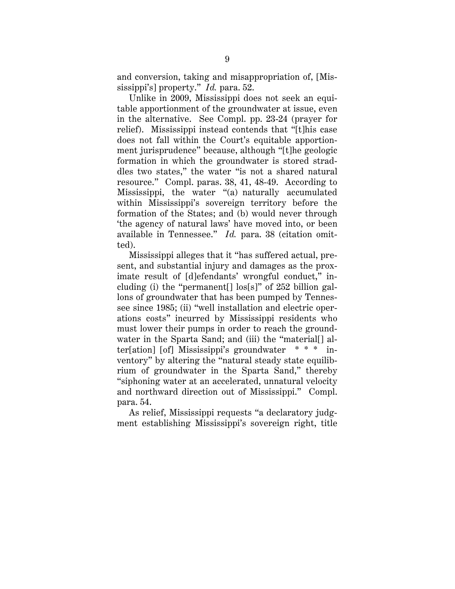and conversion, taking and misappropriation of, [Mississippi's] property." *Id.* para. 52.

Unlike in 2009, Mississippi does not seek an equitable apportionment of the groundwater at issue, even in the alternative. See Compl. pp. 23-24 (prayer for relief). Mississippi instead contends that "[t]his case does not fall within the Court's equitable apportionment jurisprudence" because, although "[t]he geologic formation in which the groundwater is stored straddles two states," the water "is not a shared natural resource." Compl. paras. 38, 41, 48-49. According to Mississippi, the water "(a) naturally accumulated within Mississippi's sovereign territory before the formation of the States; and (b) would never through 'the agency of natural laws' have moved into, or been available in Tennessee." *Id.* para. 38 (citation omitted).

Mississippi alleges that it "has suffered actual, present, and substantial injury and damages as the proximate result of [d]efendants' wrongful conduct," including (i) the "permanent<sup>[]</sup> los[s]" of 252 billion gallons of groundwater that has been pumped by Tennessee since 1985; (ii) "well installation and electric operations costs" incurred by Mississippi residents who must lower their pumps in order to reach the groundwater in the Sparta Sand; and (iii) the "material[] alter[ation] [of] Mississippi's groundwater \* \* \* inventory" by altering the "natural steady state equilibrium of groundwater in the Sparta Sand," thereby "siphoning water at an accelerated, unnatural velocity and northward direction out of Mississippi." Compl. para. 54.

As relief, Mississippi requests "a declaratory judgment establishing Mississippi's sovereign right, title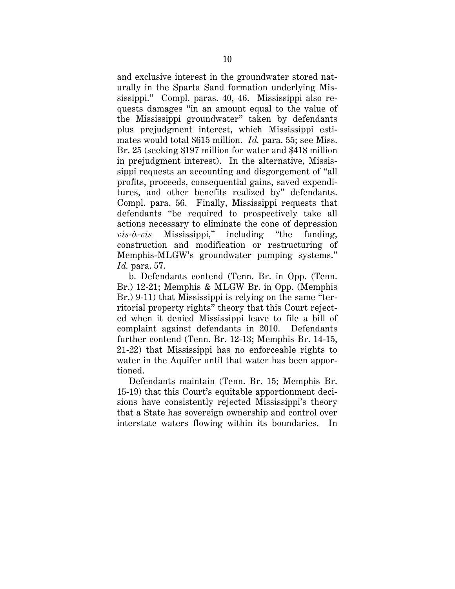and exclusive interest in the groundwater stored naturally in the Sparta Sand formation underlying Mississippi." Compl. paras. 40, 46. Mississippi also requests damages "in an amount equal to the value of the Mississippi groundwater" taken by defendants plus prejudgment interest, which Mississippi estimates would total \$615 million. *Id.* para. 55; see Miss. Br. 25 (seeking \$197 million for water and \$418 million in prejudgment interest). In the alternative, Mississippi requests an accounting and disgorgement of "all profits, proceeds, consequential gains, saved expenditures, and other benefits realized by" defendants. Compl. para. 56. Finally, Mississippi requests that defendants "be required to prospectively take all actions necessary to eliminate the cone of depression *vis-à-vis* Mississippi," including "the funding, construction and modification or restructuring of Memphis-MLGW's groundwater pumping systems." *Id.* para. 57.

b. Defendants contend (Tenn. Br. in Opp. (Tenn. Br.) 12-21; Memphis & MLGW Br. in Opp. (Memphis Br.) 9-11) that Mississippi is relying on the same "territorial property rights" theory that this Court rejected when it denied Mississippi leave to file a bill of complaint against defendants in 2010. Defendants further contend (Tenn. Br. 12-13; Memphis Br. 14-15, 21-22) that Mississippi has no enforceable rights to water in the Aquifer until that water has been apportioned.

Defendants maintain (Tenn. Br. 15; Memphis Br. 15-19) that this Court's equitable apportionment decisions have consistently rejected Mississippi's theory that a State has sovereign ownership and control over interstate waters flowing within its boundaries. In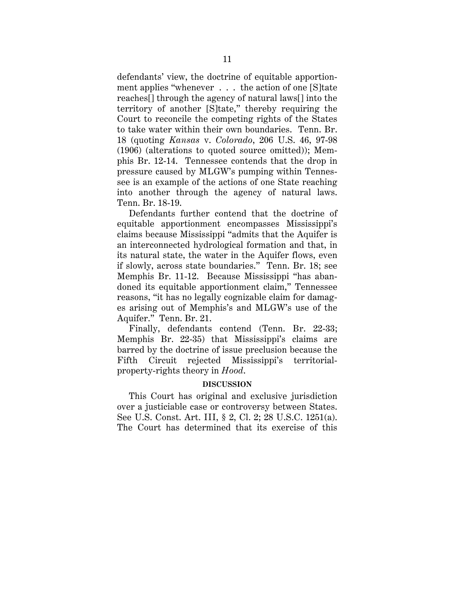defendants' view, the doctrine of equitable apportionment applies "whenever . . . the action of one [S]tate reaches[] through the agency of natural laws[] into the territory of another [S]tate," thereby requiring the Court to reconcile the competing rights of the States to take water within their own boundaries. Tenn. Br. 18 (quoting *Kansas* v. *Colorado*, 206 U.S. 46, 97-98 (1906) (alterations to quoted source omitted)); Memphis Br. 12-14. Tennessee contends that the drop in pressure caused by MLGW's pumping within Tennessee is an example of the actions of one State reaching into another through the agency of natural laws. Tenn. Br. 18-19.

Defendants further contend that the doctrine of equitable apportionment encompasses Mississippi's claims because Mississippi "admits that the Aquifer is an interconnected hydrological formation and that, in its natural state, the water in the Aquifer flows, even if slowly, across state boundaries." Tenn. Br. 18; see Memphis Br. 11-12. Because Mississippi "has abandoned its equitable apportionment claim," Tennessee reasons, "it has no legally cognizable claim for damages arising out of Memphis's and MLGW's use of the Aquifer." Tenn. Br. 21.

Finally, defendants contend (Tenn. Br. 22-33; Memphis Br. 22-35) that Mississippi's claims are barred by the doctrine of issue preclusion because the Fifth Circuit rejected Mississippi's territorialproperty-rights theory in *Hood*.

#### **DISCUSSION**

This Court has original and exclusive jurisdiction over a justiciable case or controversy between States. See U.S. Const. Art. III, § 2, Cl. 2; 28 U.S.C. 1251(a). The Court has determined that its exercise of this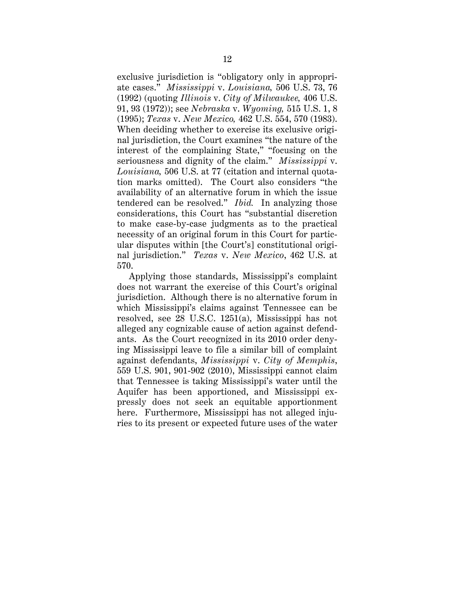exclusive jurisdiction is "obligatory only in appropriate cases." *Mississippi* v. *Louisiana,* 506 U.S. 73, 76 (1992) (quoting *Illinois* v. *City of Milwaukee,* 406 U.S. 91, 93 (1972)); see *Nebraska* v. *Wyoming,* 515 U.S. 1, 8 (1995); *Texas* v. *New Mexico,* 462 U.S. 554, 570 (1983). When deciding whether to exercise its exclusive original jurisdiction, the Court examines "the nature of the interest of the complaining State," "focusing on the seriousness and dignity of the claim." *Mississippi* v. *Louisiana,* 506 U.S. at 77 (citation and internal quotation marks omitted). The Court also considers "the availability of an alternative forum in which the issue tendered can be resolved." *Ibid.* In analyzing those considerations, this Court has "substantial discretion to make case-by-case judgments as to the practical necessity of an original forum in this Court for particular disputes within [the Court's] constitutional original jurisdiction." *Texas* v. *New Mexico*, 462 U.S. at 570.

Applying those standards, Mississippi's complaint does not warrant the exercise of this Court's original jurisdiction. Although there is no alternative forum in which Mississippi's claims against Tennessee can be resolved, see 28 U.S.C. 1251(a), Mississippi has not alleged any cognizable cause of action against defendants. As the Court recognized in its 2010 order denying Mississippi leave to file a similar bill of complaint against defendants, *Mississippi* v. *City of Memphis*, 559 U.S. 901, 901-902 (2010), Mississippi cannot claim that Tennessee is taking Mississippi's water until the Aquifer has been apportioned, and Mississippi expressly does not seek an equitable apportionment here. Furthermore, Mississippi has not alleged injuries to its present or expected future uses of the water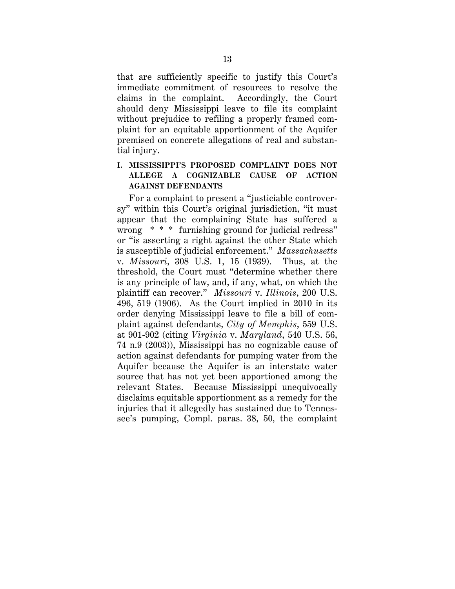that are sufficiently specific to justify this Court's immediate commitment of resources to resolve the claims in the complaint. Accordingly, the Court should deny Mississippi leave to file its complaint without prejudice to refiling a properly framed complaint for an equitable apportionment of the Aquifer premised on concrete allegations of real and substantial injury.

### **I. MISSISSIPPI'S PROPOSED COMPLAINT DOES NOT ALLEGE A COGNIZABLE CAUSE OF ACTION AGAINST DEFENDANTS**

For a complaint to present a "justiciable controversy" within this Court's original jurisdiction, "it must appear that the complaining State has suffered a wrong \* \* \* furnishing ground for judicial redress" or "is asserting a right against the other State which is susceptible of judicial enforcement." *Massachusetts*  v. *Missouri*, 308 U.S. 1, 15 (1939). Thus, at the threshold, the Court must "determine whether there is any principle of law, and, if any, what, on which the plaintiff can recover." *Missouri* v. *Illinois*, 200 U.S. 496, 519 (1906). As the Court implied in 2010 in its order denying Mississippi leave to file a bill of complaint against defendants, *City of Memphis*, 559 U.S. at 901-902 (citing *Virginia* v. *Maryland*, 540 U.S. 56, 74 n.9 (2003)), Mississippi has no cognizable cause of action against defendants for pumping water from the Aquifer because the Aquifer is an interstate water source that has not yet been apportioned among the relevant States. Because Mississippi unequivocally disclaims equitable apportionment as a remedy for the injuries that it allegedly has sustained due to Tennessee's pumping, Compl. paras. 38, 50, the complaint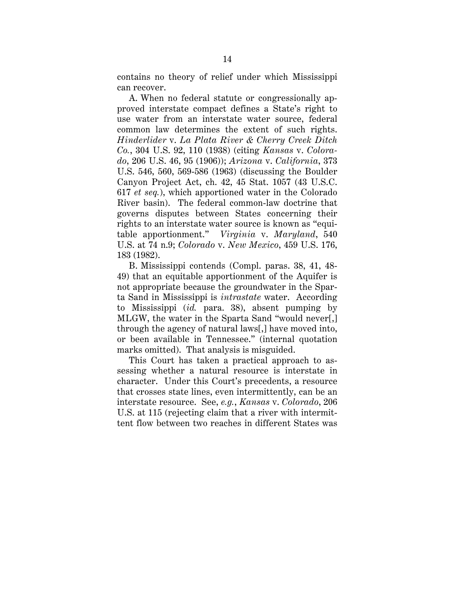contains no theory of relief under which Mississippi can recover.

A. When no federal statute or congressionally approved interstate compact defines a State's right to use water from an interstate water source, federal common law determines the extent of such rights. *Hinderlider* v. *La Plata River & Cherry Creek Ditch Co.*, 304 U.S. 92, 110 (1938) (citing *Kansas* v. *Colorado*, 206 U.S. 46, 95 (1906)); *Arizona* v. *California*, 373 U.S. 546, 560, 569-586 (1963) (discussing the Boulder Canyon Project Act, ch. 42, 45 Stat. 1057 (43 U.S.C. 617 *et seq.*), which apportioned water in the Colorado River basin). The federal common-law doctrine that governs disputes between States concerning their rights to an interstate water source is known as "equitable apportionment." *Virginia* v. *Maryland*, 540 U.S. at 74 n.9; *Colorado* v. *New Mexico*, 459 U.S. 176, 183 (1982).

B. Mississippi contends (Compl. paras. 38, 41, 48- 49) that an equitable apportionment of the Aquifer is not appropriate because the groundwater in the Sparta Sand in Mississippi is *intrastate* water. According to Mississippi (*id.* para. 38), absent pumping by MLGW, the water in the Sparta Sand "would never[,] through the agency of natural laws[,] have moved into, or been available in Tennessee." (internal quotation marks omitted). That analysis is misguided.

This Court has taken a practical approach to assessing whether a natural resource is interstate in character. Under this Court's precedents, a resource that crosses state lines, even intermittently, can be an interstate resource. See, *e.g.*, *Kansas* v. *Colorado*, 206 U.S. at 115 (rejecting claim that a river with intermittent flow between two reaches in different States was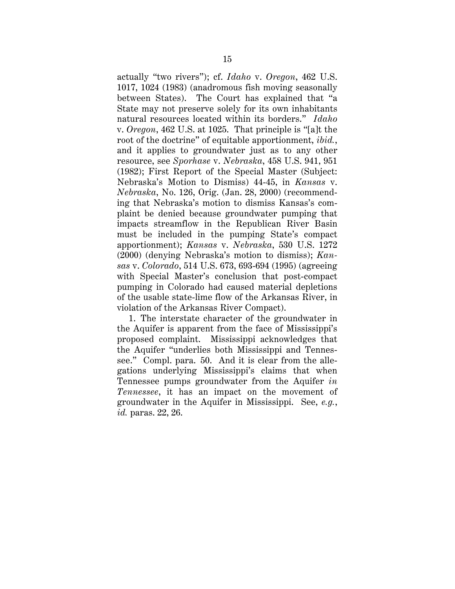actually "two rivers"); cf. *Idaho* v. *Oregon*, 462 U.S. 1017, 1024 (1983) (anadromous fish moving seasonally between States). The Court has explained that "a State may not preserve solely for its own inhabitants natural resources located within its borders." *Idaho*  v. *Oregon*, 462 U.S. at 1025. That principle is "[a]t the root of the doctrine" of equitable apportionment, *ibid.*, and it applies to groundwater just as to any other resource, see *Sporhase* v. *Nebraska*, 458 U.S. 941, 951 (1982); First Report of the Special Master (Subject: Nebraska's Motion to Dismiss) 44-45, in *Kansas* v. *Nebraska*, No. 126, Orig. (Jan. 28, 2000) (recommending that Nebraska's motion to dismiss Kansas's complaint be denied because groundwater pumping that impacts streamflow in the Republican River Basin must be included in the pumping State's compact apportionment); *Kansas* v. *Nebraska*, 530 U.S. 1272 (2000) (denying Nebraska's motion to dismiss); *Kansas* v. *Colorado*, 514 U.S. 673, 693-694 (1995) (agreeing with Special Master's conclusion that post-compact pumping in Colorado had caused material depletions of the usable state-lime flow of the Arkansas River, in violation of the Arkansas River Compact).

1. The interstate character of the groundwater in the Aquifer is apparent from the face of Mississippi's proposed complaint. Mississippi acknowledges that the Aquifer "underlies both Mississippi and Tennessee." Compl. para. 50. And it is clear from the allegations underlying Mississippi's claims that when Tennessee pumps groundwater from the Aquifer *in Tennessee*, it has an impact on the movement of groundwater in the Aquifer in Mississippi. See, *e.g.*, *id.* paras. 22, 26.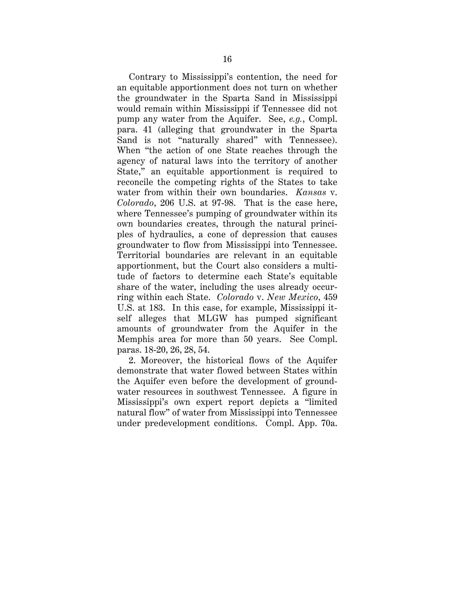Contrary to Mississippi's contention, the need for an equitable apportionment does not turn on whether the groundwater in the Sparta Sand in Mississippi would remain within Mississippi if Tennessee did not pump any water from the Aquifer. See, *e.g.*, Compl. para. 41 (alleging that groundwater in the Sparta Sand is not "naturally shared" with Tennessee). When "the action of one State reaches through the agency of natural laws into the territory of another State," an equitable apportionment is required to reconcile the competing rights of the States to take water from within their own boundaries. *Kansas* v. *Colorado*, 206 U.S. at 97-98. That is the case here, where Tennessee's pumping of groundwater within its own boundaries creates, through the natural principles of hydraulics, a cone of depression that causes groundwater to flow from Mississippi into Tennessee. Territorial boundaries are relevant in an equitable apportionment, but the Court also considers a multitude of factors to determine each State's equitable share of the water, including the uses already occurring within each State. *Colorado* v. *New Mexico*, 459 U.S. at 183. In this case, for example, Mississippi itself alleges that MLGW has pumped significant amounts of groundwater from the Aquifer in the Memphis area for more than 50 years. See Compl. paras. 18-20, 26, 28, 54.

2. Moreover, the historical flows of the Aquifer demonstrate that water flowed between States within the Aquifer even before the development of groundwater resources in southwest Tennessee. A figure in Mississippi's own expert report depicts a "limited natural flow" of water from Mississippi into Tennessee under predevelopment conditions. Compl. App. 70a.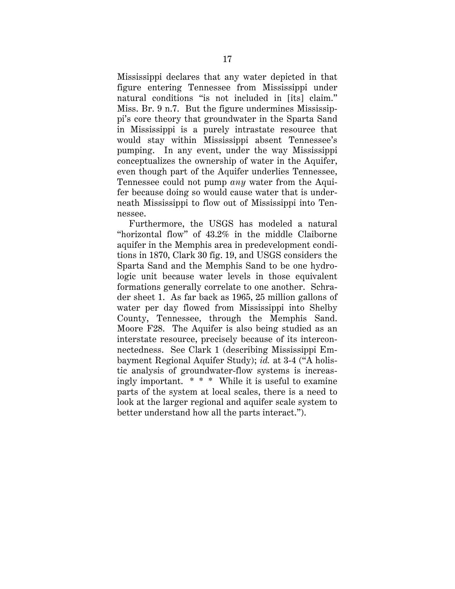Mississippi declares that any water depicted in that figure entering Tennessee from Mississippi under natural conditions "is not included in [its] claim." Miss. Br. 9 n.7. But the figure undermines Mississippi's core theory that groundwater in the Sparta Sand in Mississippi is a purely intrastate resource that would stay within Mississippi absent Tennessee's pumping. In any event, under the way Mississippi conceptualizes the ownership of water in the Aquifer, even though part of the Aquifer underlies Tennessee, Tennessee could not pump *any* water from the Aquifer because doing so would cause water that is underneath Mississippi to flow out of Mississippi into Tennessee.

Furthermore, the USGS has modeled a natural "horizontal flow" of 43.2% in the middle Claiborne aquifer in the Memphis area in predevelopment conditions in 1870, Clark 30 fig. 19, and USGS considers the Sparta Sand and the Memphis Sand to be one hydrologic unit because water levels in those equivalent formations generally correlate to one another. Schrader sheet 1. As far back as 1965, 25 million gallons of water per day flowed from Mississippi into Shelby County, Tennessee, through the Memphis Sand. Moore F28. The Aquifer is also being studied as an interstate resource, precisely because of its interconnectedness. See Clark 1 (describing Mississippi Embayment Regional Aquifer Study); *id.* at 3-4 ("A holistic analysis of groundwater-flow systems is increasingly important. \* \* \* While it is useful to examine parts of the system at local scales, there is a need to look at the larger regional and aquifer scale system to better understand how all the parts interact.").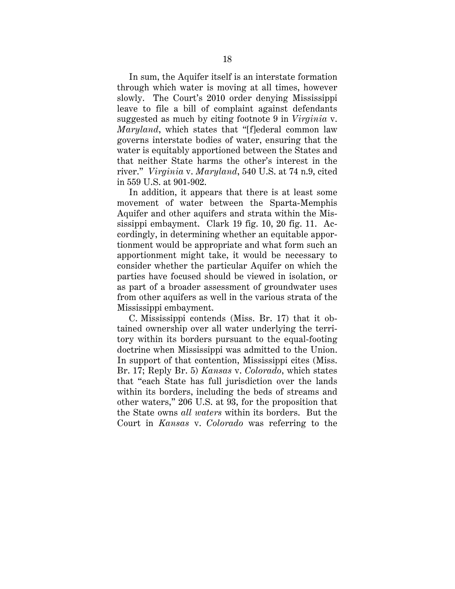In sum, the Aquifer itself is an interstate formation through which water is moving at all times, however slowly. The Court's 2010 order denying Mississippi leave to file a bill of complaint against defendants suggested as much by citing footnote 9 in *Virginia* v. *Maryland*, which states that "[f]ederal common law governs interstate bodies of water, ensuring that the water is equitably apportioned between the States and that neither State harms the other's interest in the river." *Virginia* v. *Maryland*, 540 U.S. at 74 n.9, cited in 559 U.S. at 901-902.

In addition, it appears that there is at least some movement of water between the Sparta-Memphis Aquifer and other aquifers and strata within the Mississippi embayment. Clark 19 fig. 10, 20 fig. 11. Accordingly, in determining whether an equitable apportionment would be appropriate and what form such an apportionment might take, it would be necessary to consider whether the particular Aquifer on which the parties have focused should be viewed in isolation, or as part of a broader assessment of groundwater uses from other aquifers as well in the various strata of the Mississippi embayment.

C. Mississippi contends (Miss. Br. 17) that it obtained ownership over all water underlying the territory within its borders pursuant to the equal-footing doctrine when Mississippi was admitted to the Union. In support of that contention, Mississippi cites (Miss. Br. 17; Reply Br. 5) *Kansas* v. *Colorado*, which states that "each State has full jurisdiction over the lands within its borders, including the beds of streams and other waters," 206 U.S. at 93, for the proposition that the State owns *all waters* within its borders. But the Court in *Kansas* v. *Colorado* was referring to the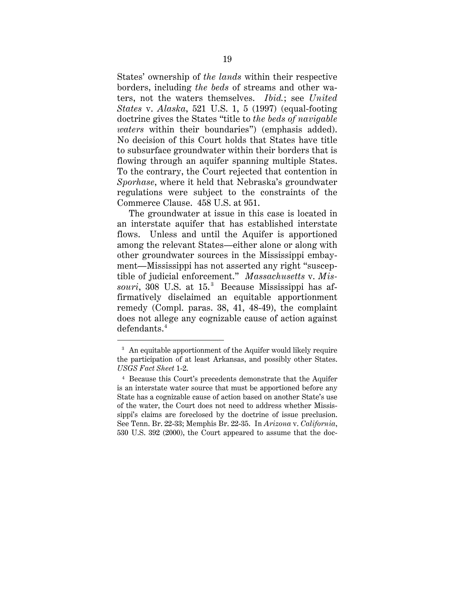States' ownership of *the lands* within their respective borders, including *the beds* of streams and other waters, not the waters themselves. *Ibid.*; see *United States* v. *Alaska*, 521 U.S. 1, 5 (1997) (equal-footing doctrine gives the States "title to *the beds of navigable waters* within their boundaries") (emphasis added). No decision of this Court holds that States have title to subsurface groundwater within their borders that is flowing through an aquifer spanning multiple States. To the contrary, the Court rejected that contention in *Sporhase*, where it held that Nebraska's groundwater regulations were subject to the constraints of the Commerce Clause. 458 U.S. at 951.

The groundwater at issue in this case is located in an interstate aquifer that has established interstate flows. Unless and until the Aquifer is apportioned among the relevant States—either alone or along with other groundwater sources in the Mississippi embayment—Mississippi has not asserted any right "susceptible of judicial enforcement." *Massachusetts* v. *Mis*souri, 308 U.S. at 15.<sup>3</sup> Because Mississippi has affirmatively disclaimed an equitable apportionment remedy (Compl. paras. 38, 41, 48-49), the complaint does not allege any cognizable cause of action against defendants.4

 $\overline{a}$ 

<sup>&</sup>lt;sup>3</sup> An equitable apportionment of the Aquifer would likely require the participation of at least Arkansas, and possibly other States. *USGS Fact Sheet* 1-2.

<sup>4</sup> Because this Court's precedents demonstrate that the Aquifer is an interstate water source that must be apportioned before any State has a cognizable cause of action based on another State's use of the water, the Court does not need to address whether Mississippi's claims are foreclosed by the doctrine of issue preclusion. See Tenn. Br. 22-33; Memphis Br. 22-35. In *Arizona* v. *California*, 530 U.S. 392 (2000), the Court appeared to assume that the doc-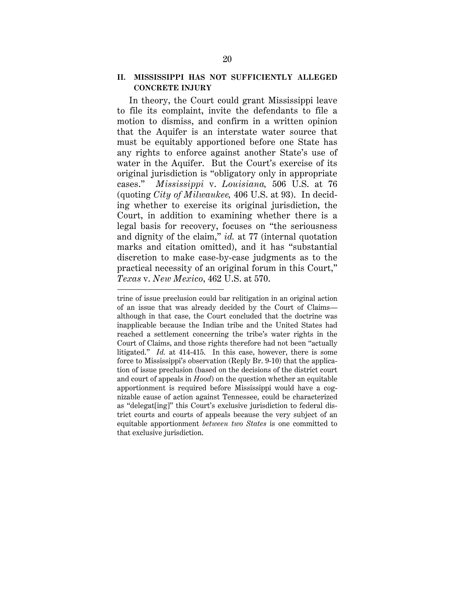### **II. MISSISSIPPI HAS NOT SUFFICIENTLY ALLEGED CONCRETE INJURY**

In theory, the Court could grant Mississippi leave to file its complaint, invite the defendants to file a motion to dismiss, and confirm in a written opinion that the Aquifer is an interstate water source that must be equitably apportioned before one State has any rights to enforce against another State's use of water in the Aquifer. But the Court's exercise of its original jurisdiction is "obligatory only in appropriate cases." *Mississippi* v. *Louisiana,* 506 U.S. at 76 (quoting *City of Milwaukee,* 406 U.S. at 93). In deciding whether to exercise its original jurisdiction, the Court, in addition to examining whether there is a legal basis for recovery, focuses on "the seriousness and dignity of the claim," *id.* at 77 (internal quotation marks and citation omitted), and it has "substantial discretion to make case-by-case judgments as to the practical necessity of an original forum in this Court," *Texas* v. *New Mexico*, 462 U.S. at 570.

 $\overline{a}$ 

trine of issue preclusion could bar relitigation in an original action of an issue that was already decided by the Court of Claims although in that case, the Court concluded that the doctrine was inapplicable because the Indian tribe and the United States had reached a settlement concerning the tribe's water rights in the Court of Claims, and those rights therefore had not been "actually litigated." *Id.* at 414-415. In this case, however, there is some force to Mississippi's observation (Reply Br. 9-10) that the application of issue preclusion (based on the decisions of the district court and court of appeals in *Hood*) on the question whether an equitable apportionment is required before Mississippi would have a cognizable cause of action against Tennessee, could be characterized as "delegat[ing]" this Court's exclusive jurisdiction to federal district courts and courts of appeals because the very subject of an equitable apportionment *between two States* is one committed to that exclusive jurisdiction.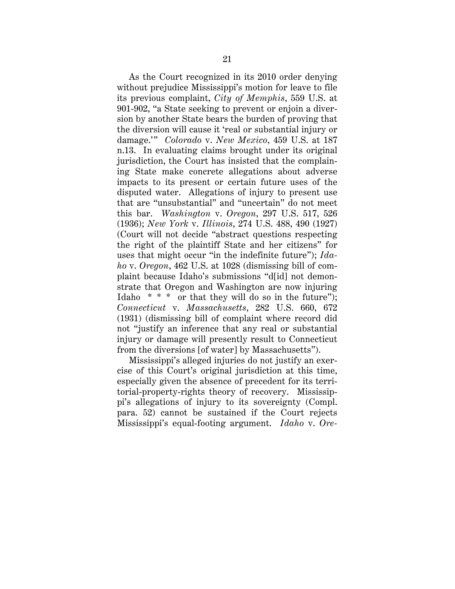As the Court recognized in its 2010 order denying without prejudice Mississippi's motion for leave to file its previous complaint, *City of Memphis*, 559 U.S. at 901-902, "a State seeking to prevent or enjoin a diversion by another State bears the burden of proving that the diversion will cause it 'real or substantial injury or damage.'" *Colorado* v. *New Mexico*, 459 U.S. at 187 n.13. In evaluating claims brought under its original jurisdiction, the Court has insisted that the complaining State make concrete allegations about adverse impacts to its present or certain future uses of the disputed water. Allegations of injury to present use that are "unsubstantial" and "uncertain" do not meet this bar. *Washington* v. *Oregon*, 297 U.S. 517, 526 (1936); *New York* v. *Illinois*, 274 U.S. 488, 490 (1927) (Court will not decide "abstract questions respecting the right of the plaintiff State and her citizens" for uses that might occur "in the indefinite future"); *Idaho* v. *Oregon*, 462 U.S. at 1028 (dismissing bill of complaint because Idaho's submissions "d[id] not demonstrate that Oregon and Washington are now injuring Idaho  $**$  or that they will do so in the future"); *Connecticut* v. *Massachusetts*, 282 U.S. 660, 672 (1931) (dismissing bill of complaint where record did not "justify an inference that any real or substantial injury or damage will presently result to Connecticut from the diversions [of water] by Massachusetts").

Mississippi's alleged injuries do not justify an exercise of this Court's original jurisdiction at this time, especially given the absence of precedent for its territorial-property-rights theory of recovery. Mississippi's allegations of injury to its sovereignty (Compl. para. 52) cannot be sustained if the Court rejects Mississippi's equal-footing argument. *Idaho* v. *Ore-*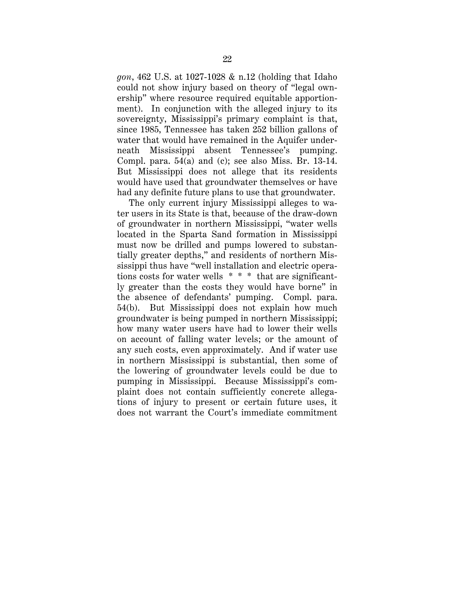*gon*, 462 U.S. at 1027-1028 & n.12 (holding that Idaho could not show injury based on theory of "legal ownership" where resource required equitable apportionment). In conjunction with the alleged injury to its sovereignty, Mississippi's primary complaint is that, since 1985, Tennessee has taken 252 billion gallons of water that would have remained in the Aquifer underneath Mississippi absent Tennessee's pumping. Compl. para. 54(a) and (c); see also Miss. Br. 13-14. But Mississippi does not allege that its residents would have used that groundwater themselves or have had any definite future plans to use that groundwater.

The only current injury Mississippi alleges to water users in its State is that, because of the draw-down of groundwater in northern Mississippi, "water wells located in the Sparta Sand formation in Mississippi must now be drilled and pumps lowered to substantially greater depths," and residents of northern Mississippi thus have "well installation and electric operations costs for water wells \* \* \* that are significantly greater than the costs they would have borne" in the absence of defendants' pumping. Compl. para. 54(b).But Mississippi does not explain how much groundwater is being pumped in northern Mississippi; how many water users have had to lower their wells on account of falling water levels; or the amount of any such costs, even approximately. And if water use in northern Mississippi is substantial, then some of the lowering of groundwater levels could be due to pumping in Mississippi. Because Mississippi's complaint does not contain sufficiently concrete allegations of injury to present or certain future uses, it does not warrant the Court's immediate commitment